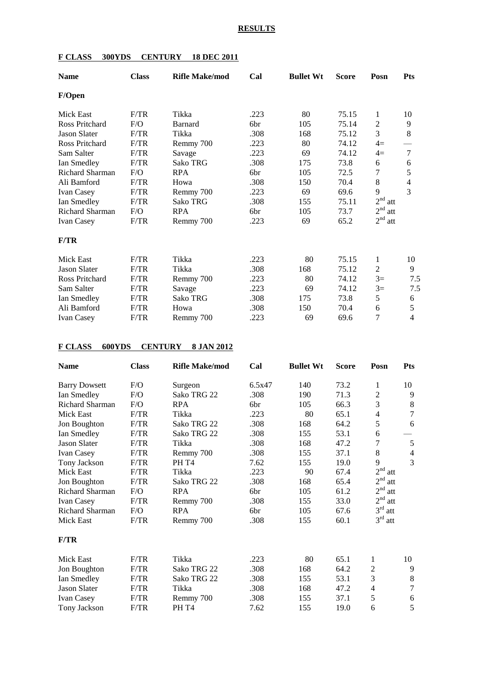#### **RESULTS**

| <b>Name</b>         | <b>Class</b> | <b>Rifle Make/mod</b> | Cal             | <b>Bullet Wt</b> | <b>Score</b> | Posn                   | <b>Pts</b>     |
|---------------------|--------------|-----------------------|-----------------|------------------|--------------|------------------------|----------------|
| F/Open              |              |                       |                 |                  |              |                        |                |
| Mick East           | F/TR         | Tikka                 | .223            | 80               | 75.15        | 1                      | 10             |
| Ross Pritchard      | F/O          | Barnard               | 6 <sub>br</sub> | 105              | 75.14        | 2                      | 9              |
| <b>Jason Slater</b> | F/TR         | Tikka                 | .308            | 168              | 75.12        | 3                      | 8              |
| Ross Pritchard      | F/TR         | Remmy 700             | .223            | 80               | 74.12        | $4=$                   |                |
| Sam Salter          | F/TR         | Savage                | .223            | 69               | 74.12        | $4=$                   | $\overline{7}$ |
| Ian Smedley         | F/TR         | <b>Sako TRG</b>       | .308            | 175              | 73.8         | 6                      | 6              |
| Richard Sharman     | F/O          | <b>RPA</b>            | 6br             | 105              | 72.5         | 7                      | $\sqrt{5}$     |
| Ali Bamford         | F/TR         | Howa                  | .308            | 150              | 70.4         | 8                      | $\overline{4}$ |
| <b>Ivan Casey</b>   | F/TR         | Remmy 700             | .223            | 69               | 69.6         | 9                      | 3              |
| Ian Smedley         | F/TR         | Sako TRG              | .308            | 155              | 75.11        | 2 <sup>nd</sup><br>att |                |
| Richard Sharman     | F/O          | <b>RPA</b>            | 6br             | 105              | 73.7         | 2 <sup>nd</sup><br>att |                |
| <b>Ivan Casey</b>   | F/TR         | Remmy 700             | .223            | 69               | 65.2         | 2 <sup>nd</sup><br>att |                |
| F/TR                |              |                       |                 |                  |              |                        |                |
| <b>Mick East</b>    | F/TR         | Tikka                 | .223            | 80               | 75.15        | 1                      | 10             |
| <b>Jason Slater</b> | F/TR         | Tikka                 | .308            | 168              | 75.12        | $\overline{2}$         | 9              |
| Ross Pritchard      | F/TR         | Remmy 700             | .223            | 80               | 74.12        | $3=$                   | 7.5            |
| Sam Salter          | F/TR         | Savage                | .223            | 69               | 74.12        | $3=$                   | 7.5            |
| Ian Smedley         | F/TR         | Sako TRG              | .308            | 175              | 73.8         | 5                      | 6              |
| Ali Bamford         | F/TR         | Howa                  | .308            | 150              | 70.4         | 6                      | 5              |
| <b>Ivan Casey</b>   | F/TR         | Remmy 700             | .223            | 69               | 69.6         | 7                      | 4              |

## **F CLASS 300YDS CENTURY 18 DEC 2011**

## **F CLASS 600YDS CENTURY 8 JAN 2012**

| <b>Name</b>            | <b>Class</b> | <b>Rifle Make/mod</b> | Cal    | <b>Bullet Wt</b> | <b>Score</b> | Posn                   | <b>Pts</b>               |
|------------------------|--------------|-----------------------|--------|------------------|--------------|------------------------|--------------------------|
| <b>Barry Dowsett</b>   | F/O          | Surgeon               | 6.5x47 | 140              | 73.2         | 1                      | 10                       |
| Ian Smedley            | F/O          | Sako TRG 22           | .308   | 190              | 71.3         | 2                      | 9                        |
| <b>Richard Sharman</b> | F/O          | <b>RPA</b>            | 6br    | 105              | 66.3         | 3                      | 8                        |
| Mick East              | F/TR         | Tikka                 | .223   | 80               | 65.1         | 4                      | $\overline{7}$           |
| Jon Boughton           | F/TR         | Sako TRG 22           | .308   | 168              | 64.2         | 5                      | 6                        |
| Ian Smedley            | F/TR         | Sako TRG 22           | .308   | 155              | 53.1         | 6                      |                          |
| <b>Jason Slater</b>    | F/TR         | Tikka                 | .308   | 168              | 47.2         | 7                      | 5                        |
| <b>Ivan Casey</b>      | F/TR         | Remmy 700             | .308   | 155              | 37.1         | 8                      | $\overline{\mathcal{A}}$ |
| Tony Jackson           | F/TR         | PH T <sub>4</sub>     | 7.62   | 155              | 19.0         | 9                      | 3                        |
| Mick East              | F/TR         | Tikka                 | .223   | 90               | 67.4         | 2 <sup>nd</sup><br>att |                          |
| Jon Boughton           | F/TR         | Sako TRG 22           | .308   | 168              | 65.4         | 2 <sup>nd</sup><br>att |                          |
| Richard Sharman        | F/O          | <b>RPA</b>            | 6br    | 105              | 61.2         | 2 <sup>nd</sup><br>att |                          |
| <b>Ivan Casey</b>      | F/TR         | Remmy 700             | .308   | 155              | 33.0         | 2 <sup>nd</sup><br>att |                          |
| <b>Richard Sharman</b> | F/O          | <b>RPA</b>            | 6br    | 105              | 67.6         | $3^{\text{rd}}$<br>att |                          |
| Mick East              | F/TR         | Remmy 700             | .308   | 155              | 60.1         | 3 <sup>rd</sup><br>att |                          |
| F/TR                   |              |                       |        |                  |              |                        |                          |
| Mick East              | F/TR         | Tikka                 | .223   | 80               | 65.1         | 1                      | 10                       |
| Jon Boughton           | F/TR         | Sako TRG 22           | .308   | 168              | 64.2         | $\overline{c}$         | 9                        |
| Ian Smedley            | F/TR         | Sako TRG 22           | .308   | 155              | 53.1         | 3                      | $8\,$                    |
| <b>Jason Slater</b>    | F/TR         | Tikka                 | .308   | 168              | 47.2         | 4                      | $\overline{7}$           |
| Ivan Casey             | F/TR         | Remmy 700             | .308   | 155              | 37.1         | 5                      | $\boldsymbol{6}$         |
| Tony Jackson           | F/TR         | PH T <sub>4</sub>     | 7.62   | 155              | 19.0         | 6                      | 5                        |